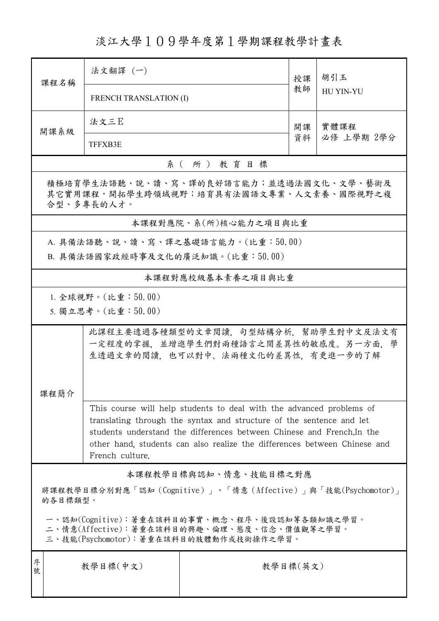淡江大學109學年度第1學期課程教學計畫表

| 課程名稱                                                                                             | 法文翻譯 (一)                                                                                                                                     |                                    | 授課<br>教師 | 胡引玉              |  |  |  |
|--------------------------------------------------------------------------------------------------|----------------------------------------------------------------------------------------------------------------------------------------------|------------------------------------|----------|------------------|--|--|--|
|                                                                                                  | <b>FRENCH TRANSLATION (I)</b>                                                                                                                |                                    |          | <b>HU YIN-YU</b> |  |  |  |
|                                                                                                  |                                                                                                                                              |                                    |          |                  |  |  |  |
| 開課系級                                                                                             | 法文三E                                                                                                                                         |                                    | 開課       | 實體課程             |  |  |  |
|                                                                                                  | <b>TFFXB3E</b>                                                                                                                               |                                    | 資料       | 必修 上學期 2學分       |  |  |  |
| 系(所)教育目標                                                                                         |                                                                                                                                              |                                    |          |                  |  |  |  |
| 積極培育學生法語聽、說、讀、寫、譯的良好語言能力;並透過法國文化、文學、藝術及<br>其它實用課程,開拓學生跨領域視野;培育具有法國語文專業、人文素養、國際視野之複<br>合型、多專長的人才。 |                                                                                                                                              |                                    |          |                  |  |  |  |
| 本課程對應院、系(所)核心能力之項目與比重                                                                            |                                                                                                                                              |                                    |          |                  |  |  |  |
|                                                                                                  |                                                                                                                                              | A. 具備法語聽、說、讀、寫、譯之基礎語言能力。(比重:50.00) |          |                  |  |  |  |
| B. 具備法語國家政經時事及文化的廣泛知識。(比重:50.00)                                                                 |                                                                                                                                              |                                    |          |                  |  |  |  |
| 本課程對應校級基本素養之項目與比重                                                                                |                                                                                                                                              |                                    |          |                  |  |  |  |
| 1. 全球視野。(比重: $50.00$ )                                                                           |                                                                                                                                              |                                    |          |                  |  |  |  |
|                                                                                                  | 5. 獨立思考。(比重:50.00)                                                                                                                           |                                    |          |                  |  |  |  |
|                                                                                                  |                                                                                                                                              |                                    |          |                  |  |  |  |
|                                                                                                  | 此課程主要透過各種類型的文章閱讀,句型結構分析,幫助學生對中文及法文有<br>一定程度的掌握,並增進學生們對兩種語言之間差異性的敏感度。另一方面,學<br>生透過文章的閱讀,也可以對中、法兩種文化的差異性,有更進一步的了解                              |                                    |          |                  |  |  |  |
|                                                                                                  |                                                                                                                                              |                                    |          |                  |  |  |  |
|                                                                                                  |                                                                                                                                              |                                    |          |                  |  |  |  |
|                                                                                                  |                                                                                                                                              |                                    |          |                  |  |  |  |
| 課程簡介                                                                                             |                                                                                                                                              |                                    |          |                  |  |  |  |
|                                                                                                  | This course will help students to deal with the advanced problems of<br>translating through the syntax and structure of the sentence and let |                                    |          |                  |  |  |  |
| students understand the differences between Chinese and French. In the                           |                                                                                                                                              |                                    |          |                  |  |  |  |
| other hand, students can also realize the differences between Chinese and                        |                                                                                                                                              |                                    |          |                  |  |  |  |
|                                                                                                  | French culture.                                                                                                                              |                                    |          |                  |  |  |  |
| 本課程教學目標與認知、情意、技能目標之對應                                                                            |                                                                                                                                              |                                    |          |                  |  |  |  |
| 將課程教學目標分別對應「認知 (Cognitive)」、「情意 (Affective)」與「技能(Psychomotor)」<br>的各目標類型。                        |                                                                                                                                              |                                    |          |                  |  |  |  |
| 一、認知(Cognitive):著重在該科目的事實、概念、程序、後設認知等各類知識之學習。                                                    |                                                                                                                                              |                                    |          |                  |  |  |  |
| 二、情意(Affective):著重在該科目的興趣、倫理、態度、信念、價值觀等之學習。                                                      |                                                                                                                                              |                                    |          |                  |  |  |  |
| 三、技能(Psychomotor):著重在該科目的肢體動作或技術操作之學習。                                                           |                                                                                                                                              |                                    |          |                  |  |  |  |
| 序<br>號                                                                                           | 教學目標(中文)                                                                                                                                     | 教學目標(英文)                           |          |                  |  |  |  |
|                                                                                                  |                                                                                                                                              |                                    |          |                  |  |  |  |
|                                                                                                  |                                                                                                                                              |                                    |          |                  |  |  |  |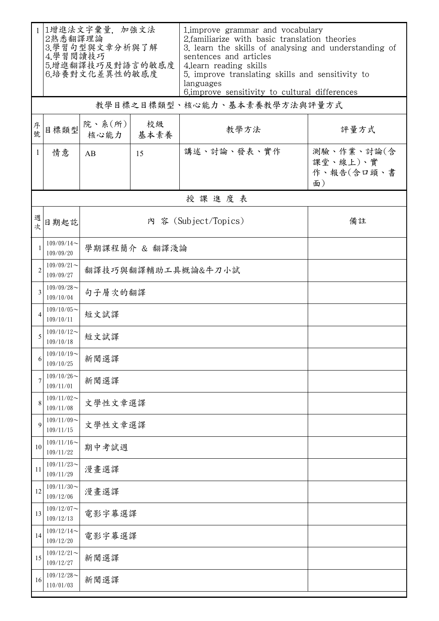| $\mathbf{1}$   | 1增進法文字彙量, 加強文法<br>2熟悉翻譯理論<br>3.學習句型與文章分析與了解<br>4.學習閱讀技巧<br>5.增進翻譯技巧及對語言的敏感度<br>6.培養對文化差異性的敏感度 |                            |            | 1. improve grammar and vocabulary<br>2. familiarize with basic translation theories<br>3. learn the skills of analysing and understanding of<br>sentences and articles<br>4.learn reading skills<br>5. improve translating skills and sensitivity to<br>languages<br>6. improve sensitivity to cultural differences |                                            |  |  |  |
|----------------|-----------------------------------------------------------------------------------------------|----------------------------|------------|---------------------------------------------------------------------------------------------------------------------------------------------------------------------------------------------------------------------------------------------------------------------------------------------------------------------|--------------------------------------------|--|--|--|
|                | 教學目標之目標類型、核心能力、基本素養教學方法與評量方式                                                                  |                            |            |                                                                                                                                                                                                                                                                                                                     |                                            |  |  |  |
| 序號             | 目標類型                                                                                          | 院、系(所)<br>核心能力             | 校級<br>基本素養 | 教學方法                                                                                                                                                                                                                                                                                                                | 評量方式                                       |  |  |  |
| $\mathbf{1}$   | 情意                                                                                            | AB                         | 15         | 講述、討論、發表、實作                                                                                                                                                                                                                                                                                                         | 測驗、作業、討論(含<br>課堂、線上)、實<br>作、報告(含口頭、書<br>面) |  |  |  |
| 授課進度表          |                                                                                               |                            |            |                                                                                                                                                                                                                                                                                                                     |                                            |  |  |  |
| 週次             | 日期起訖                                                                                          | 內 容 (Subject/Topics)<br>備註 |            |                                                                                                                                                                                                                                                                                                                     |                                            |  |  |  |
| $\mathbf{1}$   | $109/09/14$ ~<br>109/09/20                                                                    | 學期課程簡介 & 翻譯淺論              |            |                                                                                                                                                                                                                                                                                                                     |                                            |  |  |  |
| $\overline{2}$ | $109/09/21$ ~<br>109/09/27                                                                    | 翻譯技巧與翻譯輔助工具概論&牛刀小試         |            |                                                                                                                                                                                                                                                                                                                     |                                            |  |  |  |
| 3              | $109/09/28$ ~<br>109/10/04                                                                    | 句子層次的翻譯                    |            |                                                                                                                                                                                                                                                                                                                     |                                            |  |  |  |
| 4              | $109/10/05$ ~<br>109/10/11                                                                    | 短文試譯                       |            |                                                                                                                                                                                                                                                                                                                     |                                            |  |  |  |
| 5              | $109/10/12$ ~<br>109/10/18                                                                    | 短文試譯                       |            |                                                                                                                                                                                                                                                                                                                     |                                            |  |  |  |
| 6              | $109/10/19$ ~<br>109/10/25                                                                    | 新聞選譯                       |            |                                                                                                                                                                                                                                                                                                                     |                                            |  |  |  |
| 7              | $109/10/26$ ~<br>109/11/01                                                                    | 新聞選譯                       |            |                                                                                                                                                                                                                                                                                                                     |                                            |  |  |  |
| 8              | $109/11/02$ ~<br>109/11/08                                                                    | 文學性文章選譯                    |            |                                                                                                                                                                                                                                                                                                                     |                                            |  |  |  |
| 9              | $109/11/09$ ~<br>109/11/15                                                                    | 文學性文章選譯                    |            |                                                                                                                                                                                                                                                                                                                     |                                            |  |  |  |
| 10             | $109/11/16 \sim$<br>109/11/22                                                                 | 期中考試週                      |            |                                                                                                                                                                                                                                                                                                                     |                                            |  |  |  |
| 11             | $109/11/23$ ~<br>109/11/29                                                                    | 漫畫選譯                       |            |                                                                                                                                                                                                                                                                                                                     |                                            |  |  |  |
| 12             | $109/11/30$ ~<br>109/12/06                                                                    | 漫畫選譯                       |            |                                                                                                                                                                                                                                                                                                                     |                                            |  |  |  |
| 13             | $109/12/07$ ~<br>109/12/13                                                                    | 電影字幕選譯                     |            |                                                                                                                                                                                                                                                                                                                     |                                            |  |  |  |
| 14             | $109/12/14$ ~<br>109/12/20                                                                    | 電影字幕選譯                     |            |                                                                                                                                                                                                                                                                                                                     |                                            |  |  |  |
| 15             | $109/12/21$ ~<br>109/12/27                                                                    | 新聞選譯                       |            |                                                                                                                                                                                                                                                                                                                     |                                            |  |  |  |
| 16             | $109/12/28$ ~<br>110/01/03                                                                    | 新聞選譯                       |            |                                                                                                                                                                                                                                                                                                                     |                                            |  |  |  |